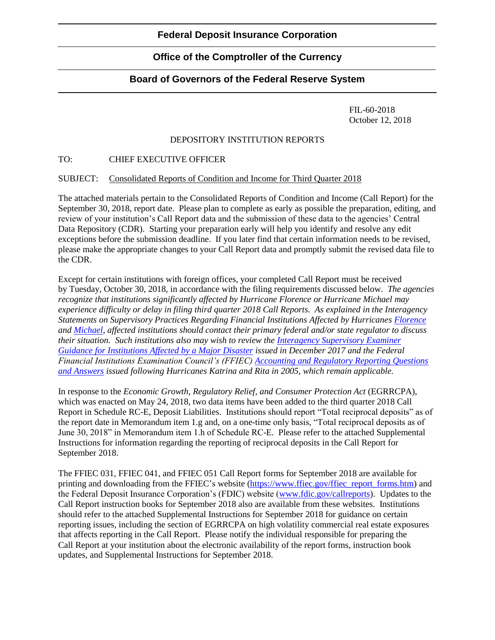# **Office of the Comptroller of the Currency**

## **Board of Governors of the Federal Reserve System**

FIL-60-2018 October 12, 2018

### DEPOSITORY INSTITUTION REPORTS

#### TO: CHIEF EXECUTIVE OFFICER

#### SUBJECT: Consolidated Reports of Condition and Income for Third Quarter 2018

The attached materials pertain to the Consolidated Reports of Condition and Income (Call Report) for the September 30, 2018, report date. Please plan to complete as early as possible the preparation, editing, and review of your institution's Call Report data and the submission of these data to the agencies' Central Data Repository (CDR). Starting your preparation early will help you identify and resolve any edit exceptions before the submission deadline. If you later find that certain information needs to be revised, please make the appropriate changes to your Call Report data and promptly submit the revised data file to the CDR.

Except for certain institutions with foreign offices, your completed Call Report must be received by Tuesday, October 30, 2018, in accordance with the filing requirements discussed below. *The agencies recognize that institutions significantly affected by Hurricane Florence or Hurricane Michael may experience difficulty or delay in filing third quarter 2018 Call Reports. As explained in the Interagency Statements on Supervisory Practices Regarding Financial Institutions Affected by Hurricanes [Florence](https://www.fdic.gov/news/news/press/2018/pr18062.html) and [Michael,](https://www.fdic.gov/news/news/press/2018/pr18074.html) affected institutions should contact their primary federal and/or state regulator to discuss their situation. Such institutions also may wish to review the [Interagency Supervisory Examiner](https://www.fdic.gov/news/news/financial/2017/fil17062a.pdf)  [Guidance for Institutions Affected by a Major Disaster](https://www.fdic.gov/news/news/financial/2017/fil17062a.pdf) issued in December 2017 and the Federal Financial Institutions Examination Council's (FFIEC) [Accounting and Regulatory Reporting Questions](https://www.ffiec.gov/katrina.htm)  [and Answers](https://www.ffiec.gov/katrina.htm) issued following Hurricanes Katrina and Rita in 2005, which remain applicable.*

In response to the *Economic Growth, Regulatory Relief, and Consumer Protection Act* (EGRRCPA), which was enacted on May 24, 2018, two data items have been added to the third quarter 2018 Call Report in Schedule RC-E, Deposit Liabilities. Institutions should report "Total reciprocal deposits" as of the report date in Memorandum item 1.g and, on a one-time only basis, "Total reciprocal deposits as of June 30, 2018" in Memorandum item 1.h of Schedule RC-E. Please refer to the attached Supplemental Instructions for information regarding the reporting of reciprocal deposits in the Call Report for September 2018.

The FFIEC 031, FFIEC 041, and FFIEC 051 Call Report forms for September 2018 are available for printing and downloading from the FFIEC's website [\(https://www.ffiec.gov/ffiec\\_report\\_forms.htm\)](https://www.ffiec.gov/ffiec_report_forms.htm) and the Federal Deposit Insurance Corporation's (FDIC) website [\(www.fdic.gov/callreports\)](https://www.fdic.gov/callreports/). Updates to the Call Report instruction books for September 2018 also are available from these websites. Institutions should refer to the attached Supplemental Instructions for September 2018 for guidance on certain reporting issues, including the section of EGRRCPA on high volatility commercial real estate exposures that affects reporting in the Call Report. Please notify the individual responsible for preparing the Call Report at your institution about the electronic availability of the report forms, instruction book updates, and Supplemental Instructions for September 2018.